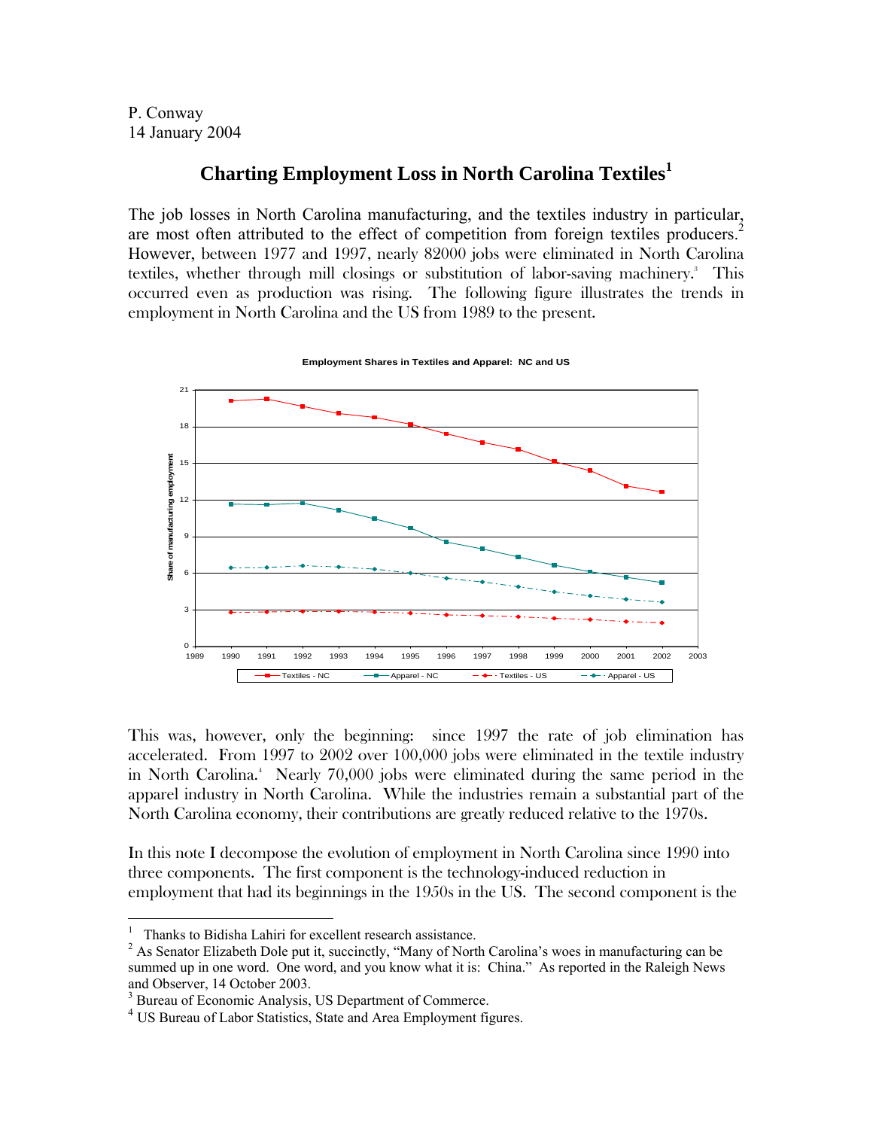P. Conway 14 January 2004

# **Charting Employment Loss in North Carolina Textiles[1](#page-0-0)**

The job losses in North Carolina manufacturing, and the textiles industry in particular, are most often attributed to the effect of competition from foreign textiles producers.<sup>2</sup> However, between 1977 and 1997, nearly 82000 jobs were eliminated in North Carolina textiles,whether through mill closings or substitution of labor-saving machinery. This occurred even as production was rising. The following figure illustrates the trends in employment in North Carolina and the US from 1989 to the present.



**Employment Shares in Textiles and Apparel: NC and US**

This was, however, only the beginning: since 1997 the rate of job elimination has accelerated. From 1997 to 2002 over 100,000 jobs were eliminated in the textile industry inNorth Carolina.<sup>4</sup> Nearly 70,000 jobs were eliminated during the same period in the apparel industry in North Carolina. While the industries remain a substantial part of the North Carolina economy, their contributions are greatly reduced relative to the 1970s.

In this note I decompose the evolution of employment in North Carolina since 1990 into three components. The first component is the technology-induced reduction in employment that had its beginnings in the 1950s in the US. The second component is the

 $\frac{1}{1}$ Thanks to Bidisha Lahiri for excellent research assistance. 2

<span id="page-0-1"></span><span id="page-0-0"></span><sup>&</sup>lt;sup>2</sup> As Senator Elizabeth Dole put it, succinctly, "Many of North Carolina's woes in manufacturing can be summed up in one word. One word, and you know what it is: China." As reported in the Raleigh News and Observer, 14 October 2003.

<span id="page-0-2"></span><sup>&</sup>lt;sup>3</sup> Bureau of Economic Analysis, US Department of Commerce.

<span id="page-0-3"></span><sup>4</sup> US Bureau of Labor Statistics, State and Area Employment figures.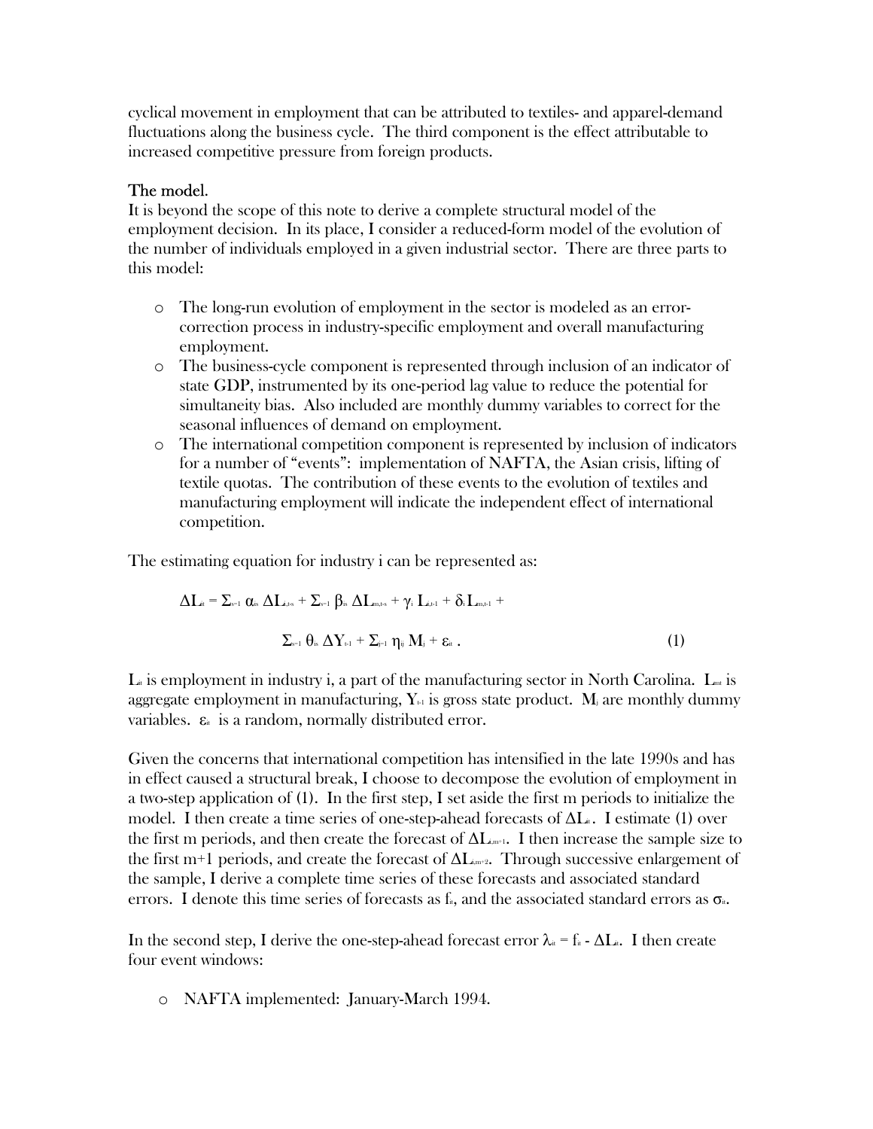cyclical movement in employment that can be attributed to textiles- and apparel-demand fluctuations along the business cycle. The third component is the effect attributable to increased competitive pressure from foreign products.

# The model.

It is beyond the scope of this note to derive a complete structural model of the employment decision. In its place, I consider a reduced-form model of the evolution of the number of individuals employed in a given industrial sector. There are three parts to this model:

- o The long-run evolution of employment in the sector is modeled as an errorcorrection process in industry-specific employment and overall manufacturing employment.
- o The business-cycle component is represented through inclusion of an indicator of state GDP, instrumented by its one-period lag value to reduce the potential for simultaneity bias. Also included are monthly dummy variables to correct for the seasonal influences of demand on employment.
- o The international competition component is represented by inclusion of indicators for a number of "events": implementation of NAFTA, the Asian crisis, lifting of textile quotas. The contribution of these events to the evolution of textiles and manufacturing employment will indicate the independent effect of international competition.

The estimating equation for industry i can be represented as:

$$
\Delta L_{\text{at}} = \sum_{s=1}^{\infty} \alpha_{is} \Delta L_{\text{at},s} + \sum_{s=1}^{\infty} \beta_{is} \Delta L_{\text{at},s} + \gamma_{i} L_{\text{at},l} + \delta_{i} L_{\text{at},l} +
$$

$$
\sum_{s=1}^{\infty} \theta_{is} \Delta Y_{\text{t},l} + \sum_{j=1}^{\infty} \eta_{ij} M_{j} + \epsilon_{\text{at}} . \tag{1}
$$

 $L_i$  is employment in industry i, a part of the manufacturing sector in North Carolina.  $L_{\text{m}}$  is aggregate employment in manufacturing,  $Y_{\mathbb{H}}$  is gross state product. M<sub>i</sub> are monthly dummy variables.  $\varepsilon_{\text{th}}$  is a random, normally distributed error.

Given the concerns that international competition has intensified in the late 1990s and has in effect caused a structural break, I choose to decompose the evolution of employment in a two-step application of (1). In the first step, I set aside the first m periods to initialize the model. I then create a time series of one-step-ahead forecasts of  $\Delta L$ . I estimate (1) over the first m periods, and then create the forecast of  $\Delta L_{\text{unit}}$ . I then increase the sample size to the first m+1 periods, and create the forecast of  $\Delta L_{amp}$ . Through successive enlargement of the sample, I derive a complete time series of these forecasts and associated standard errors. I denote this time series of forecasts as  $f_{\theta}$ , and the associated standard errors as  $\sigma_{\theta}$ .

In the second step, I derive the one-step-ahead forecast error  $\lambda_{\alpha} = f_{\alpha} - \Delta L_{\alpha}$ . I then create four event windows:

o NAFTA implemented: January-March 1994.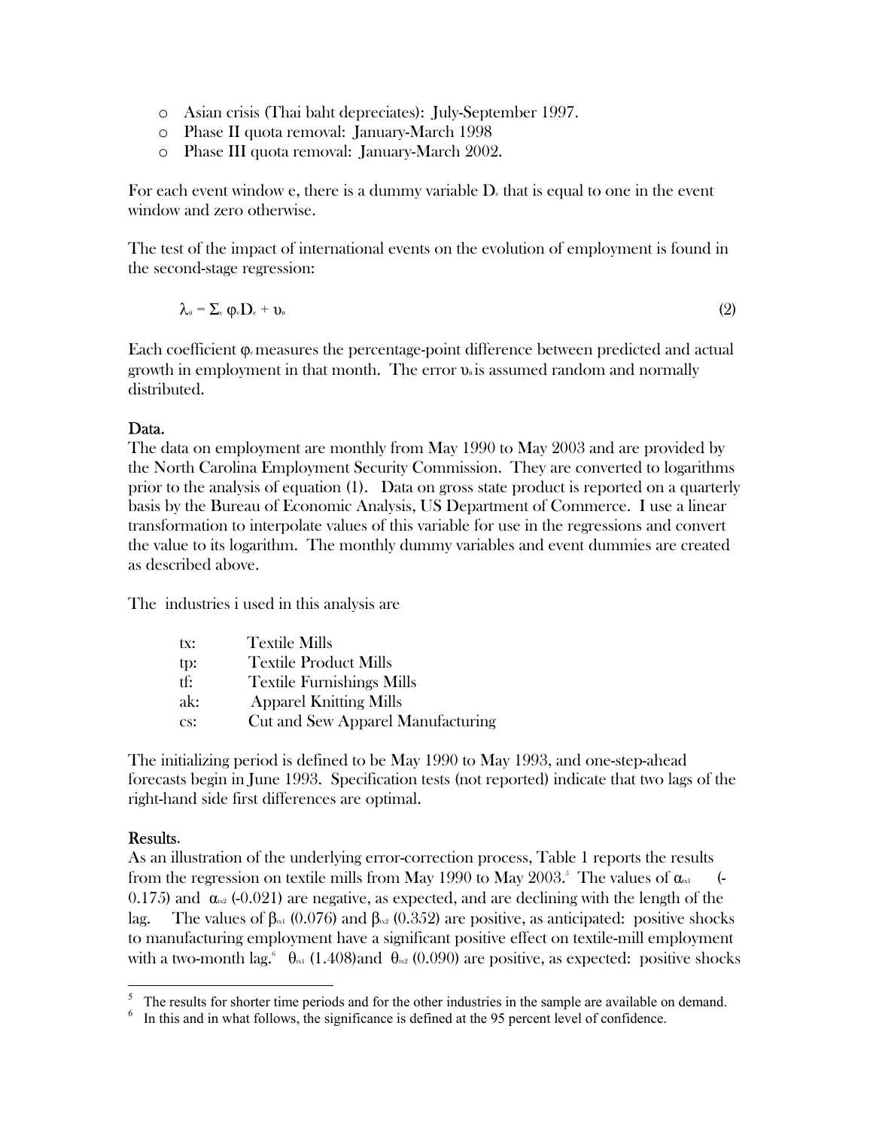- o Asian crisis (Thai baht depreciates): July-September 1997.
- o Phase II quota removal: January-March 1998
- o Phase III quota removal: January-March 2002.

For each event window e, there is a dummy variable  $D<sub>e</sub>$  that is equal to one in the event window and zero otherwise.

The test of the impact of international events on the evolution of employment is found in the second-stage regression:

$$
\lambda_{\text{it}} = \sum_{e} \phi_{e} D_{e} + \upsilon_{\text{it}} \tag{2}
$$

Each coefficient  $\varphi$ -measures the percentage-point difference between predicted and actual growth in employment in that month. The error  $v_{\alpha}$  is assumed random and normally distributed.

## Data.

The data on employment are monthly from May 1990 to May 2003 and are provided by the North Carolina Employment Security Commission. They are converted to logarithms prior to the analysis of equation (1). Data on gross state product is reported on a quarterly basis by the Bureau of Economic Analysis, US Department of Commerce. I use a linear transformation to interpolate values of this variable for use in the regressions and convert the value to its logarithm. The monthly dummy variables and event dummies are created as described above.

The industries i used in this analysis are

| <b>Textile Mills</b>              |
|-----------------------------------|
| <b>Textile Product Mills</b>      |
| <b>Textile Furnishings Mills</b>  |
| <b>Apparel Knitting Mills</b>     |
| Cut and Sew Apparel Manufacturing |
|                                   |

The initializing period is defined to be May 1990 to May 1993, and one-step-ahead forecasts begin in June 1993. Specification tests (not reported) indicate that two lags of the right-hand side first differences are optimal.

#### Results.

 $\overline{a}$ 

As an illustration of the underlying error-correction process, Table 1 reports the results fromthe regression on textile mills from May 1990 to May 2003.<sup>5</sup> The values of  $\alpha_{\text{\tiny{ext}}}$  (-0.175) and  $\alpha_{\alpha}$  (-0.021) are negative, as expected, and are declining with the length of the lag. The values of  $\beta_{\text{B1}}$  (0.076) and  $\beta_{\text{B2}}$  (0.352) are positive, as anticipated: positive shocks to manufacturing employment have a significant positive effect on textile-mill employment witha two-month lag.  $\theta_{\text{net}}$  (1.408)and  $\theta_{\text{net}}$  (0.090) are positive, as expected: positive shocks

<span id="page-2-0"></span> $5$  The results for shorter time periods and for the other industries in the sample are available on demand.

<span id="page-2-1"></span> $6\,\,$  In this and in what follows, the significance is defined at the 95 percent level of confidence.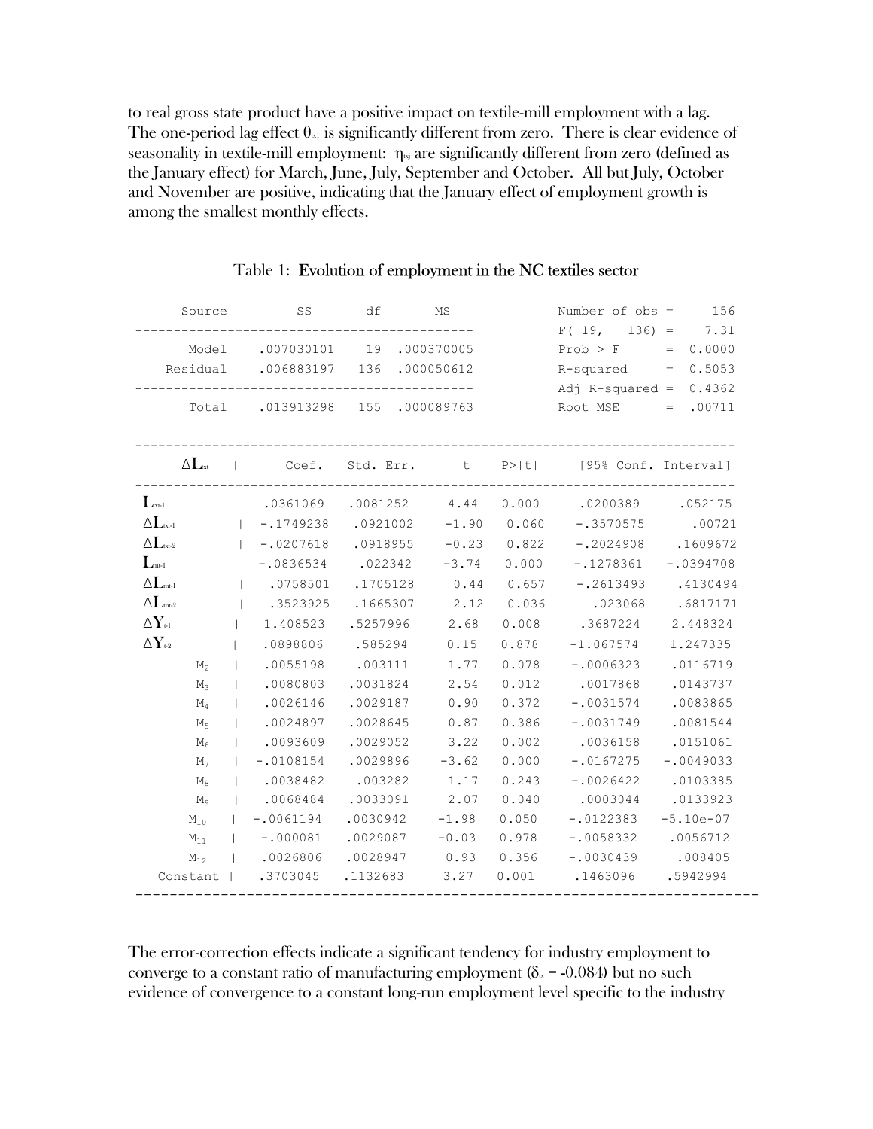to real gross state product have a positive impact on textile-mill employment with a lag. The one-period lag effect  $\theta_{\text{rel}}$  is significantly different from zero. There is clear evidence of seasonality in textile-mill employment:  $\eta_{\text{N}t}$  are significantly different from zero (defined as the January effect) for March, June, July, September and October. All but July, October and November are positive, indicating that the January effect of employment growth is among the smallest monthly effects.

| Source                                          |                |                                      | - SS                           | df       |                                   | ΜS               |                         | Number of $obs =$                                                | 156      |
|-------------------------------------------------|----------------|--------------------------------------|--------------------------------|----------|-----------------------------------|------------------|-------------------------|------------------------------------------------------------------|----------|
|                                                 |                |                                      |                                |          |                                   |                  |                         | $F(19, 136) = 7.31$                                              |          |
|                                                 |                | Model   .007030101 19 .000370005     |                                |          |                                   |                  | $Prob > F$ = 0.0000     |                                                                  |          |
|                                                 |                | Residual   .006883197 136 .000050612 |                                |          |                                   |                  | $R$ -squared = $0.5053$ |                                                                  |          |
|                                                 |                |                                      |                                |          |                                   |                  |                         | Adj R-squared = $0.4362$                                         |          |
|                                                 |                |                                      |                                |          | Total   .013913298 155 .000089763 |                  |                         | $Root MSE = .00711$                                              |          |
|                                                 |                |                                      |                                |          |                                   |                  |                         |                                                                  |          |
| $\Delta L_{\rm ext}$                            |                |                                      |                                |          |                                   |                  |                         | Coef. Std. Err. t P> t  [95% Conf. Interval]                     |          |
| $\mathbf{L}_{\text{txt-1}}$                     |                |                                      | ------------------------------ |          |                                   |                  |                         | $(0.0361069 \t .0081252 \t 4.44 \t 0.000 \t .0200389 \t .052175$ |          |
| $\Delta L_{\scriptscriptstyle\rm ext\text{-}1}$ |                |                                      |                                |          |                                   |                  |                         | $\vert$ -.1749238 .0921002 -1.90 0.060 -.3570575 .00721          |          |
| $\Delta L_{\textrm{\tiny{ext-2}}}$              |                |                                      | $ -.0207618$                   | .0918955 |                                   | $-0.23$          | 0.822                   | $-.2024908$ .1609672                                             |          |
| $L_{\rm mt-l}$                                  |                |                                      | $1 - 0836534$                  | .022342  |                                   | $-3.74$          | 0.000                   | $-.1278361 - .0394708$                                           |          |
| $\Delta L_{\rm mt\text{-}1}$                    |                |                                      | .0758501 .1705128              |          |                                   | 0.44             | 0.657                   | $-.2613493$ .4130494                                             |          |
| $\Delta L_{\rm mt-2}$                           |                |                                      | 1.3523925                      | .1665307 |                                   | 2.12             | 0.036                   | .023068                                                          | .6817171 |
| $\Delta Y_{\scriptscriptstyle\rm tl}$           |                |                                      | 1.408523                       | .5257996 |                                   | 2.68             | 0.008                   | .3687224 2.448324                                                |          |
| $\Delta\mathbf{Y}$ 1-2                          |                |                                      | .0898806                       | .585294  |                                   | 0.15             | 0.878                   | $-1.067574$                                                      | 1.247335 |
|                                                 | M <sub>2</sub> | $\mathbf{L}$                         | .0055198                       | .003111  |                                   | 1.77             |                         | $0.078 - 0006323$ .0116719                                       |          |
|                                                 | $M_3$          |                                      | $ $ .0080803                   | .0031824 |                                   | 2.54             |                         | 0.012 .0017868                                                   | .0143737 |
|                                                 | $\rm M_{4}$    |                                      | 1.0026146                      | .0029187 |                                   | 0.90             | 0.372                   | $-.0031574$ .0083865                                             |          |
|                                                 | M <sub>5</sub> |                                      | 1.0024897                      | .0028645 |                                   | 0.87             | 0.386                   | $-.0031749$                                                      | .0081544 |
|                                                 | $\rm M_6$      |                                      | $ $ .0093609                   | .0029052 |                                   | 3.22             | 0.002                   | .0036158 .0151061                                                |          |
|                                                 | M <sub>7</sub> |                                      | $1 - .0108154$                 | .0029896 |                                   | $-3.62$          | 0.000                   | $-.0167275 - .0049033$                                           |          |
|                                                 | $M_8$          |                                      | 1.0038482                      | .003282  |                                   | 1.17             | 0.243                   | $-.0026422$ .0103385                                             |          |
|                                                 | $M_{\odot}$    |                                      | .0068484                       | .0033091 |                                   | 2.07             | 0.040                   | .0003044                                                         | .0133923 |
| $M_{10}$                                        |                | $\mathbf{L}$                         | $-.0061194$                    | .0030942 |                                   | $-1.98$          | 0.050                   | $-.0122383 - 5.10e-07$                                           |          |
| $M_{11}$                                        |                |                                      | $\vert$ -.000081               |          |                                   | $.0029087 -0.03$ |                         | $0.978 - 0.058332$ .0056712                                      |          |
| $M_{12}$                                        |                |                                      | $\vert$ .0026806               | .0028947 |                                   | 0.93             |                         | $0.356 - .0030439$                                               | .008405  |
|                                                 |                |                                      | Constant   .3703045            | .1132683 |                                   | 3.27             | 0.001                   | .1463096 .5942994                                                |          |
|                                                 |                |                                      |                                |          |                                   |                  |                         |                                                                  |          |

#### Table 1: Evolution of employment in the NC textiles sector

The error-correction effects indicate a significant tendency for industry employment to converge to a constant ratio of manufacturing employment ( $\delta_{\rm B}$  = -0.084) but no such evidence of convergence to a constant long-run employment level specific to the industry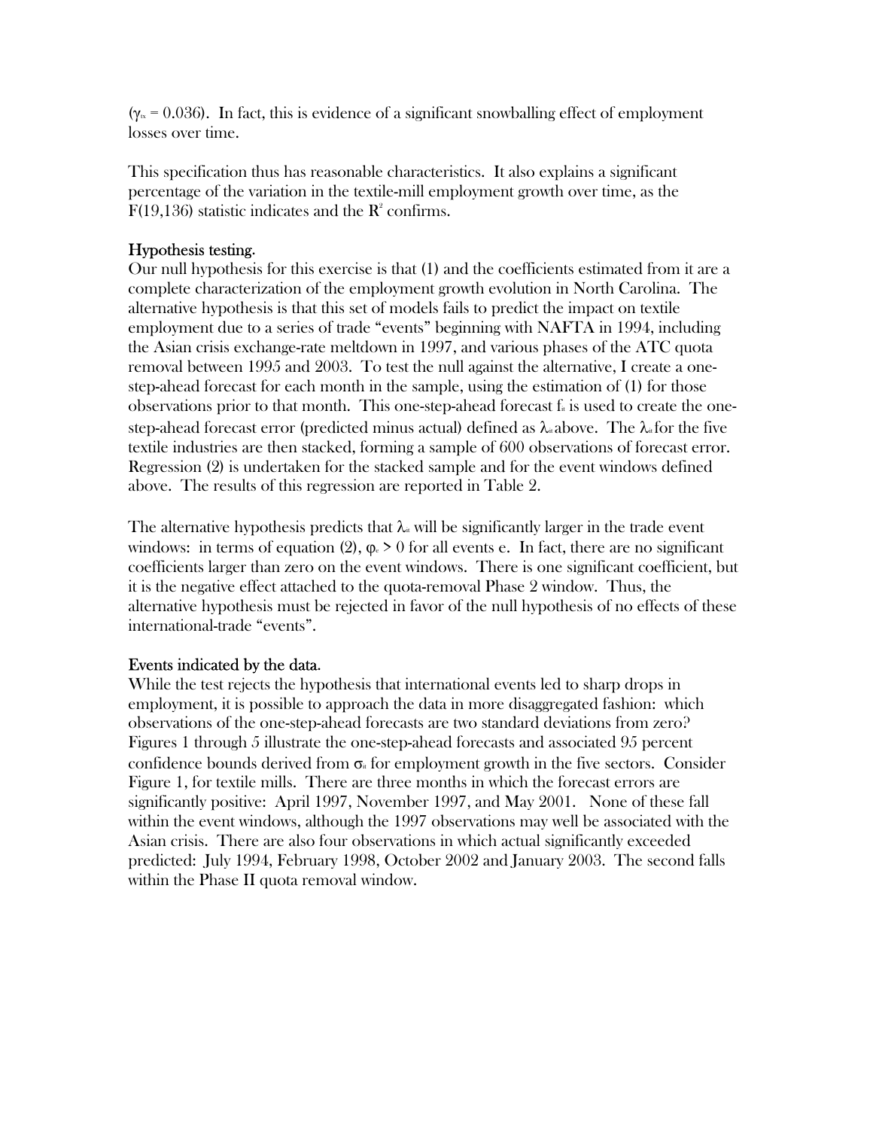$(\gamma_{\alpha} = 0.036)$ . In fact, this is evidence of a significant snowballing effect of employment losses over time.

This specification thus has reasonable characteristics. It also explains a significant percentage of the variation in the textile-mill employment growth over time, as the  $F(19,136)$  statistic indicates and the  $\mathbb{R}^2$  confirms.

# Hypothesis testing.

Our null hypothesis for this exercise is that (1) and the coefficients estimated from it are a complete characterization of the employment growth evolution in North Carolina. The alternative hypothesis is that this set of models fails to predict the impact on textile employment due to a series of trade "events" beginning with NAFTA in 1994, including the Asian crisis exchange-rate meltdown in 1997, and various phases of the ATC quota removal between 1995 and 2003. To test the null against the alternative, I create a onestep-ahead forecast for each month in the sample, using the estimation of (1) for those observations prior to that month. This one-step-ahead forecast  $f_{\alpha}$  is used to create the onestep-ahead forecast error (predicted minus actual) defined as  $\lambda_{\alpha}$  above. The  $\lambda_{\alpha}$  for the five textile industries are then stacked, forming a sample of 600 observations of forecast error. Regression (2) is undertaken for the stacked sample and for the event windows defined above. The results of this regression are reported in Table 2.

The alternative hypothesis predicts that  $\lambda_{\alpha}$  will be significantly larger in the trade event windows: in terms of equation (2),  $\varphi$  > 0 for all events e. In fact, there are no significant coefficients larger than zero on the event windows. There is one significant coefficient, but it is the negative effect attached to the quota-removal Phase 2 window. Thus, the alternative hypothesis must be rejected in favor of the null hypothesis of no effects of these international-trade "events".

#### Events indicated by the data.

While the test rejects the hypothesis that international events led to sharp drops in employment, it is possible to approach the data in more disaggregated fashion: which observations of the one-step-ahead forecasts are two standard deviations from zero? Figures 1 through 5 illustrate the one-step-ahead forecasts and associated 95 percent confidence bounds derived from  $\sigma_{\text{th}}$  for employment growth in the five sectors. Consider Figure 1, for textile mills. There are three months in which the forecast errors are significantly positive: April 1997, November 1997, and May 2001. None of these fall within the event windows, although the 1997 observations may well be associated with the Asian crisis. There are also four observations in which actual significantly exceeded predicted: July 1994, February 1998, October 2002 and January 2003. The second falls within the Phase II quota removal window.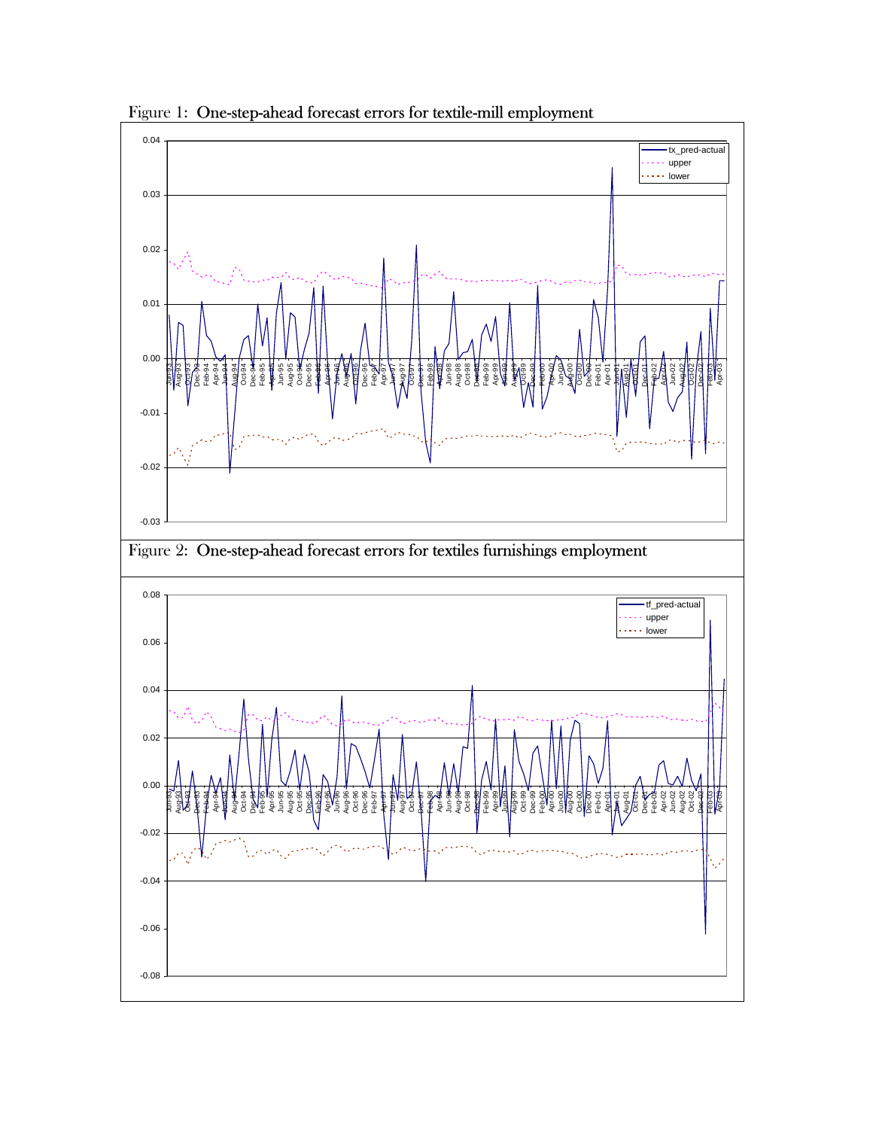

Figure 1: One-step-ahead forecast errors for textile-mill employment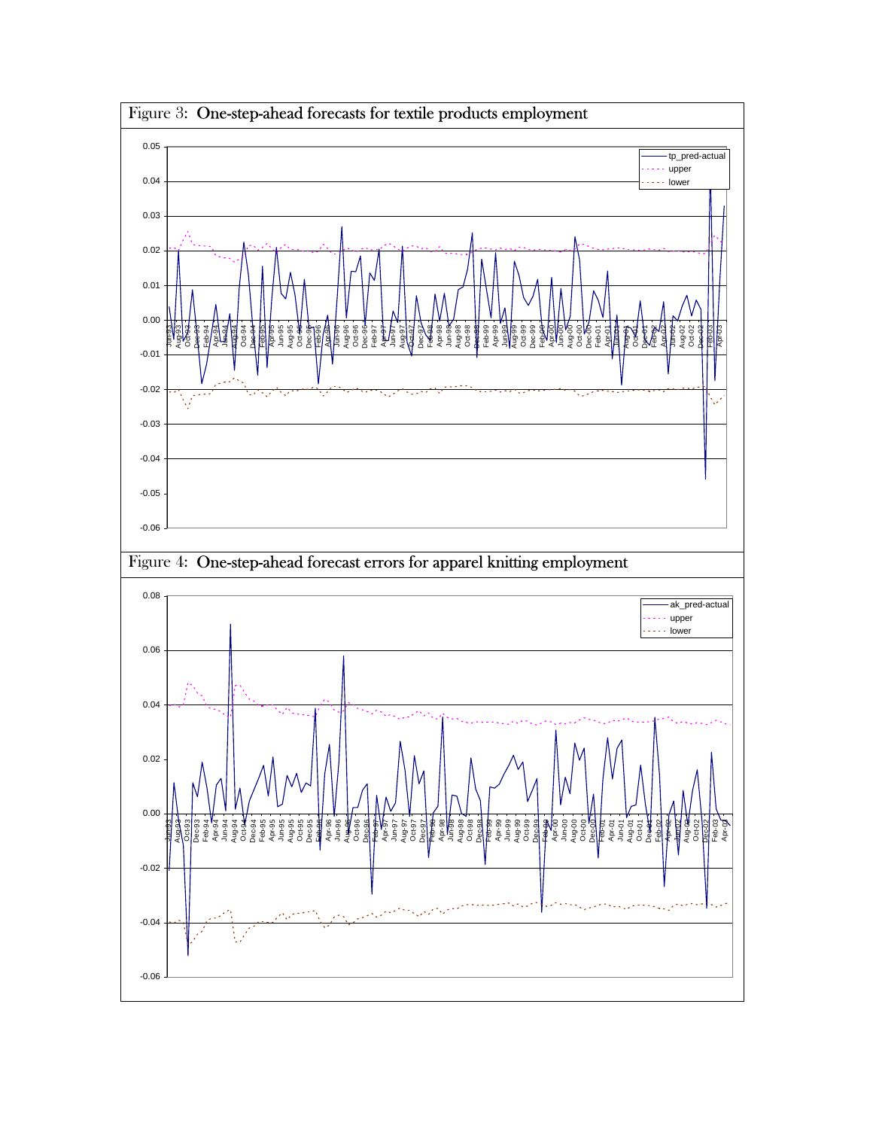

Figure 3: One-step-ahead forecasts for textile products employment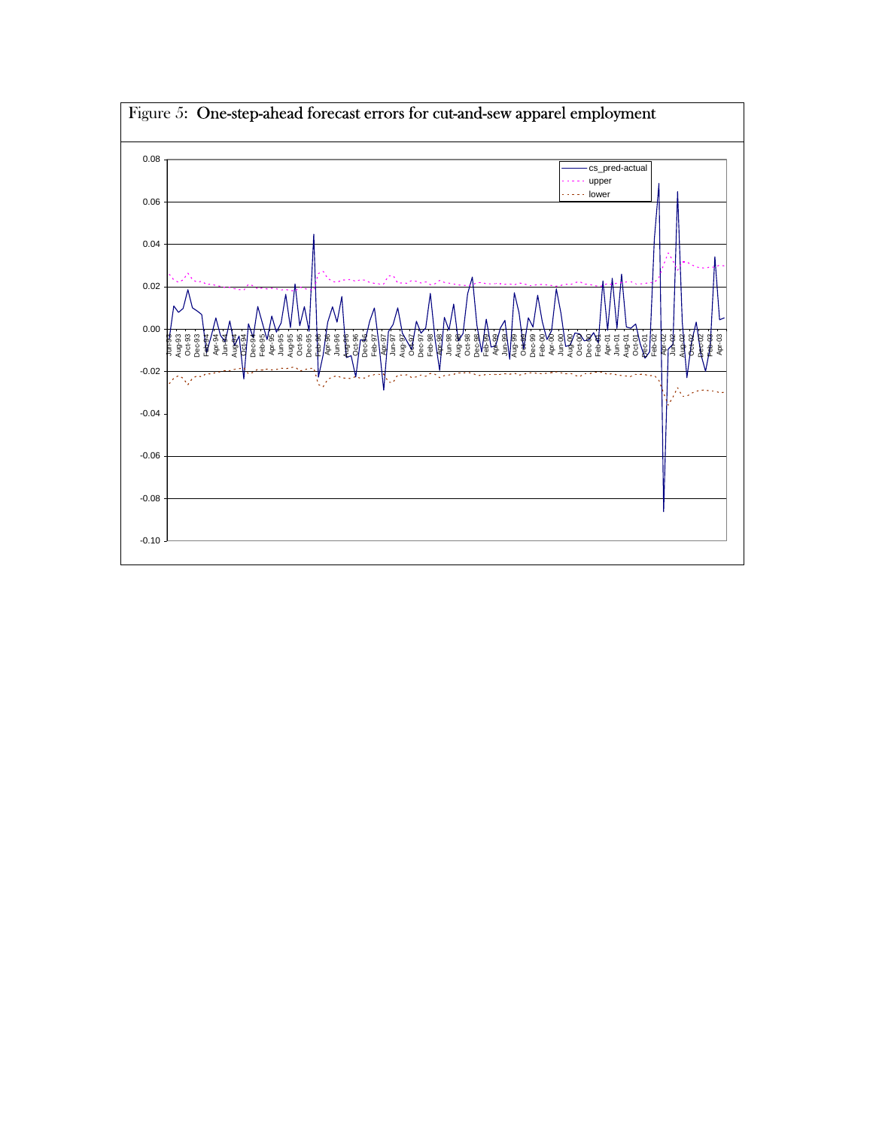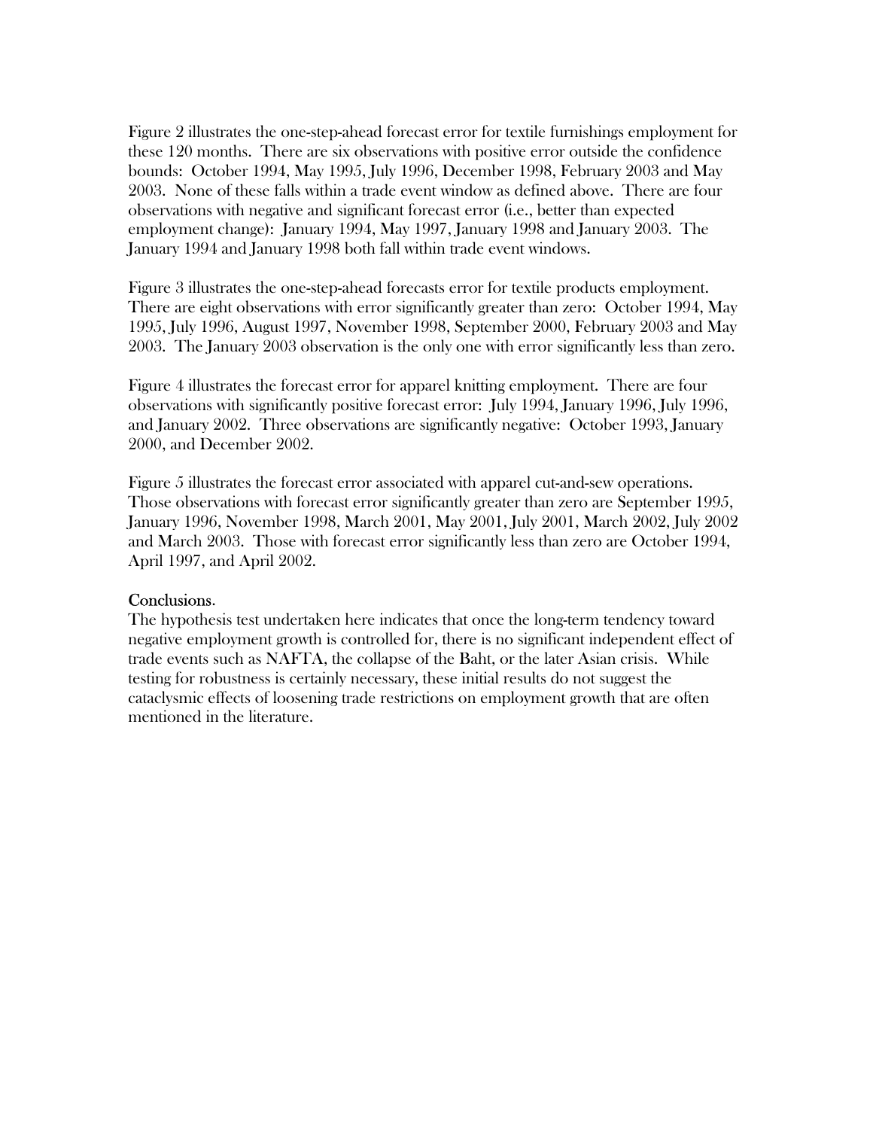Figure 2 illustrates the one-step-ahead forecast error for textile furnishings employment for these 120 months. There are six observations with positive error outside the confidence bounds: October 1994, May 1995, July 1996, December 1998, February 2003 and May 2003. None of these falls within a trade event window as defined above. There are four observations with negative and significant forecast error (i.e., better than expected employment change): January 1994, May 1997, January 1998 and January 2003. The January 1994 and January 1998 both fall within trade event windows.

Figure 3 illustrates the one-step-ahead forecasts error for textile products employment. There are eight observations with error significantly greater than zero: October 1994, May 1995, July 1996, August 1997, November 1998, September 2000, February 2003 and May 2003. The January 2003 observation is the only one with error significantly less than zero.

Figure 4 illustrates the forecast error for apparel knitting employment. There are four observations with significantly positive forecast error: July 1994, January 1996, July 1996, and January 2002. Three observations are significantly negative: October 1993, January 2000, and December 2002.

Figure 5 illustrates the forecast error associated with apparel cut-and-sew operations. Those observations with forecast error significantly greater than zero are September 1995, January 1996, November 1998, March 2001, May 2001, July 2001, March 2002, July 2002 and March 2003. Those with forecast error significantly less than zero are October 1994, April 1997, and April 2002.

#### Conclusions.

The hypothesis test undertaken here indicates that once the long-term tendency toward negative employment growth is controlled for, there is no significant independent effect of trade events such as NAFTA, the collapse of the Baht, or the later Asian crisis. While testing for robustness is certainly necessary, these initial results do not suggest the cataclysmic effects of loosening trade restrictions on employment growth that are often mentioned in the literature.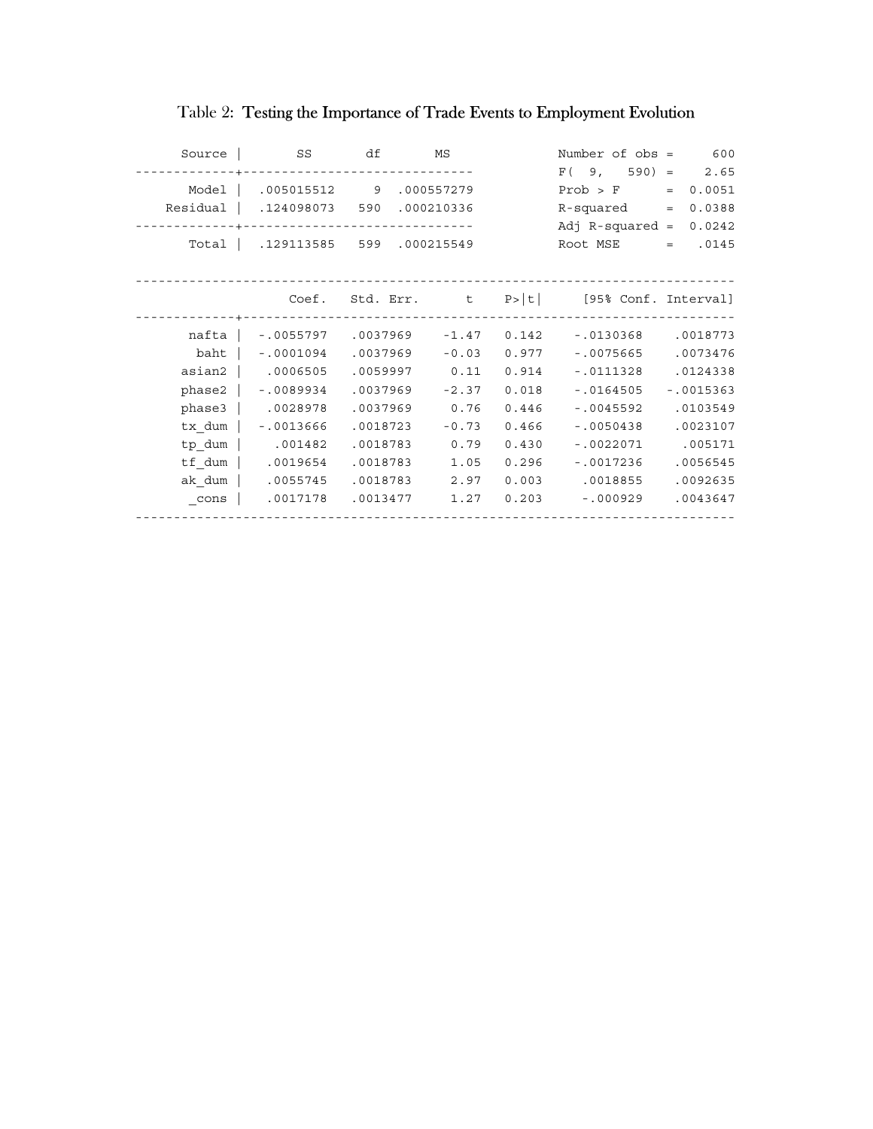| Source   | <b>SS</b>                                         | df       | MS      |       | Number of $obs =$                                      | 600         |
|----------|---------------------------------------------------|----------|---------|-------|--------------------------------------------------------|-------------|
| -------- | -------------------------------                   |          |         |       | $F(9, 590) = 2.65$                                     |             |
|          | Model   .005015512 9 .000557279                   |          |         |       | Prob > F                                               | $= 0.0051$  |
|          | Residual   .124098073 590 .000210336              |          |         |       | $R$ -squared $=$                                       | 0.0388      |
|          |                                                   |          |         |       | $Adj$ R-squared =                                      | 0.0242      |
|          | Total   .129113585 599 .000215549                 |          |         |       | Root MSE                                               | $= 0.0145$  |
|          |                                                   |          |         |       |                                                        |             |
|          |                                                   |          |         |       |                                                        |             |
|          |                                                   |          |         |       | Coef. Std. Err. $t \quad p >  t $ [95% Conf. Interval] |             |
|          |                                                   |          |         |       |                                                        |             |
| nafta    | $-.0055797$ $.0037969$ $-1.47$ 0.142              |          |         |       | $-0130368$                                             | .0018773    |
| baht     | $-0001094$                                        | .0037969 | $-0.03$ | 0.977 | $-0075665$                                             | .0073476    |
|          | asian2   .0006505                                 | .0059997 | 0.11    | 0.914 | $-.0111328$                                            | .0124338    |
|          | $phase2$   $-.0089934$                            | .0037969 | $-2.37$ | 0.018 | $-.0164505$                                            | $-.0015363$ |
| $phase3$ | .0028978                                          | .0037969 | 0.76    | 0.446 | $-.0045592$                                            | .0103549    |
| tx dum   | $-.0013666$                                       | .0018723 | $-0.73$ | 0.466 | $-0050438$                                             | .0023107    |
| tp dum   | .001482                                           | .0018783 | 0.79    | 0.430 | $-.0022071$                                            | .005171     |
| tf dum   | $\begin{array}{ccc} \vert & .0019654 \end{array}$ | .0018783 | 1.05    | 0.296 | $-.0017236$                                            | .0056545    |
| ak dum   | .0055745                                          | .0018783 | 2.97    | 0.003 | .0018855                                               | .0092635    |
| cons     | .0017178                                          | .0013477 | 1.27    | 0.203 | $-000929$                                              | .0043647    |
|          |                                                   |          |         |       |                                                        |             |

# Table 2: Testing the Importance of Trade Events to Employment Evolution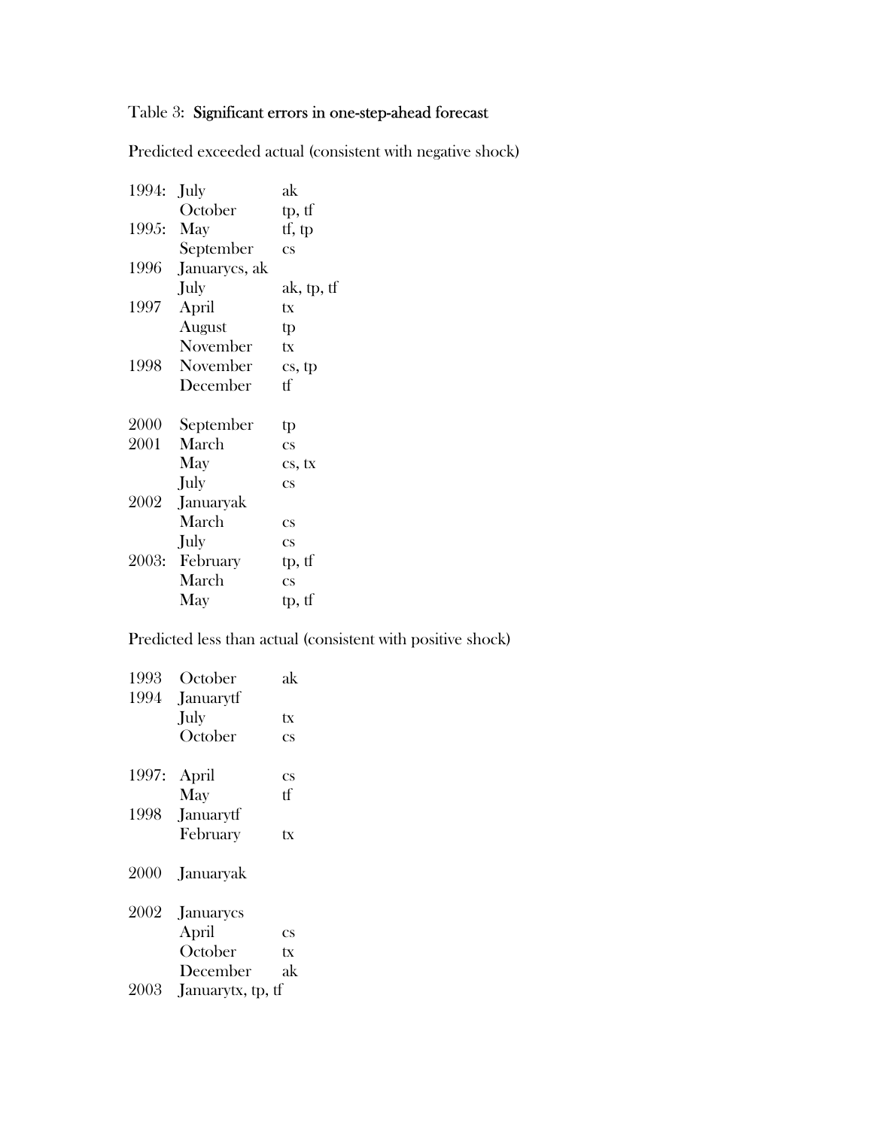# Table 3: Significant errors in one-step-ahead forecast

Predicted exceeded actual (consistent with negative shock)

1994: July ak October tp, tf 1995: May tf, tp September cs 1996 Januarycs, ak July ak, tp, tf 1997 April tx August tp November tx 1998 November cs, tp December tf 2000 September tp<br>2001 March cs March cs May cs, tx July cs 2002 Januaryak March cs July cs 2003: February tp, tf March cs May tp, tf

Predicted less than actual (consistent with positive shock)

| 1993<br>1994 | October<br>Januarytf | ak                     |
|--------------|----------------------|------------------------|
|              | July                 | tx                     |
|              | October              | CS                     |
| 1997:        | April                | $\overline{\text{cs}}$ |
|              | May                  | tf                     |
| 1998         | Januarytf            |                        |
|              | February             | tx                     |
| 2000         | Januaryak            |                        |
| 2002         | Januarycs            |                        |
|              | April                | CS                     |
|              | October              | tx                     |
|              | December             | ak                     |
| 2003         | Januarytx, tp, tf    |                        |